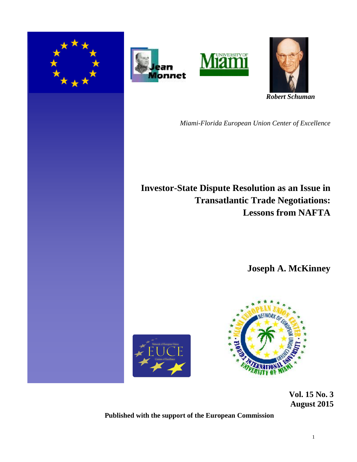







*Miami-Florida European Union Center of Excellence*

# **Investor-State Dispute Resolution as an Issue in Transatlantic Trade Negotiations: Lessons from NAFTA**

**Joseph A. McKinney**





 **Vol. 15 No. 3 August 2015** 

**Published with the support of the European Commission**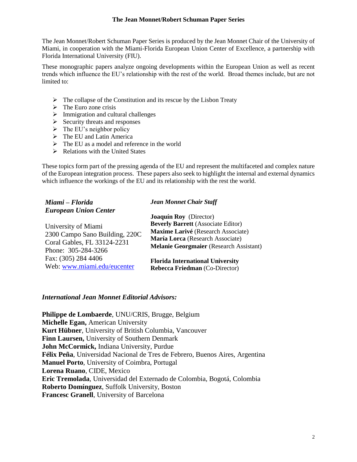# **The Jean Monnet/Robert Schuman Paper Series**

The Jean Monnet/Robert Schuman Paper Series is produced by the Jean Monnet Chair of the University of Miami, in cooperation with the Miami-Florida European Union Center of Excellence, a partnership with Florida International University (FIU).

These monographic papers analyze ongoing developments within the European Union as well as recent trends which influence the EU's relationship with the rest of the world. Broad themes include, but are not limited to:

- $\triangleright$  The collapse of the Constitution and its rescue by the Lisbon Treaty
- $\triangleright$  The Euro zone crisis
- $\triangleright$  Immigration and cultural challenges
- $\triangleright$  Security threats and responses
- $\triangleright$  The EU's neighbor policy
- $\triangleright$  The EU and Latin America
- $\triangleright$  The EU as a model and reference in the world
- $\triangleright$  Relations with the United States

These topics form part of the pressing agenda of the EU and represent the multifaceted and complex nature of the European integration process. These papers also seek to highlight the internal and external dynamics which influence the workings of the EU and its relationship with the rest the world.

| Miami - Florida                | <b>Jean Monnet Chair Staff</b>                 |
|--------------------------------|------------------------------------------------|
| <b>European Union Center</b>   |                                                |
|                                | <b>Joaquín Roy</b> (Director)                  |
| University of Miami            | <b>Beverly Barrett</b> (Associate Editor)      |
| 2300 Campo Sano Building, 220C | Maxime Larivé (Research Associate)             |
|                                | María Lorca (Research Associate)               |
| Coral Gables, FL 33124-2231    | <b>Melanie Georgmaier</b> (Research Assistant) |
| Phone: 305-284-3266            |                                                |
| Fax: (305) 284 4406            | <b>Florida International University</b>        |
| Web: www.miami.edu/eucenter    | Rebecca Friedman (Co-Director)                 |

# *International Jean Monnet Editorial Advisors:*

**Philippe de Lombaerde**, UNU/CRIS, Brugge, Belgium **Michelle Egan,** American University **Kurt Hübner**, University of British Columbia, Vancouver **Finn Laursen,** University of Southern Denmark **John McCormick,** Indiana University, Purdue **Félix Peña**, Universidad Nacional de Tres de Febrero, Buenos Aires, Argentina **Manuel Porto**, University of Coimbra, Portugal **Lorena Ruano**, CIDE, Mexico **Eric Tremolada**, Universidad del Externado de Colombia, Bogotá, Colombia **Roberto Domínguez**, Suffolk University, Boston **Francesc Granell**, University of Barcelona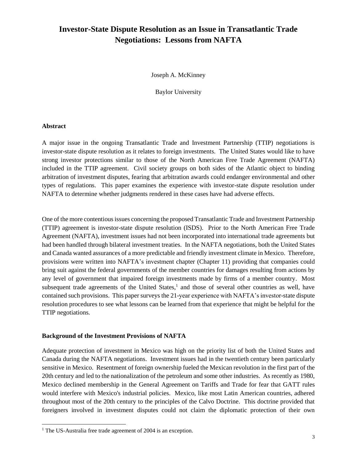# **Investor-State Dispute Resolution as an Issue in Transatlantic Trade Negotiations: Lessons from NAFTA**

Joseph A. McKinney

Baylor University

#### **Abstract**

l

A major issue in the ongoing Transatlantic Trade and Investment Partnership (TTIP) negotiations is investor-state dispute resolution as it relates to foreign investments. The United States would like to have strong investor protections similar to those of the North American Free Trade Agreement (NAFTA) included in the TTIP agreement. Civil society groups on both sides of the Atlantic object to binding arbitration of investment disputes, fearing that arbitration awards could endanger environmental and other types of regulations. This paper examines the experience with investor-state dispute resolution under NAFTA to determine whether judgments rendered in these cases have had adverse effects.

One of the more contentious issues concerning the proposed Transatlantic Trade and Investment Partnership (TTIP) agreement is investor-state dispute resolution (ISDS). Prior to the North American Free Trade Agreement (NAFTA), investment issues had not been incorporated into international trade agreements but had been handled through bilateral investment treaties. In the NAFTA negotiations, both the United States and Canada wanted assurances of a more predictable and friendly investment climate in Mexico. Therefore, provisions were written into NAFTA's investment chapter (Chapter 11) providing that companies could bring suit against the federal governments of the member countries for damages resulting from actions by any level of government that impaired foreign investments made by firms of a member country. Most subsequent trade agreements of the United States,<sup>1</sup> and those of several other countries as well, have contained such provisions. This paper surveys the 21-year experience with NAFTA's investor-state dispute resolution procedures to see what lessons can be learned from that experience that might be helpful for the TTIP negotiations.

#### **Background of the Investment Provisions of NAFTA**

Adequate protection of investment in Mexico was high on the priority list of both the United States and Canada during the NAFTA negotiations. Investment issues had in the twentieth century been particularly sensitive in Mexico. Resentment of foreign ownership fueled the Mexican revolution in the first part of the 20th century and led to the nationalization of the petroleum and some other industries. As recently as 1980, Mexico declined membership in the General Agreement on Tariffs and Trade for fear that GATT rules would interfere with Mexico's industrial policies. Mexico, like most Latin American countries, adhered throughout most of the 20th century to the principles of the Calvo Doctrine. This doctrine provided that foreigners involved in investment disputes could not claim the diplomatic protection of their own

 $1$  The US-Australia free trade agreement of 2004 is an exception.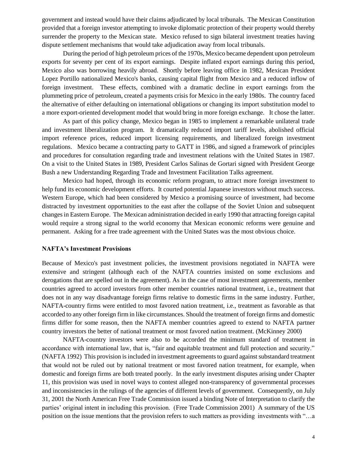government and instead would have their claims adjudicated by local tribunals. The Mexican Constitution provided that a foreign investor attempting to invoke diplomatic protection of their property would thereby surrender the property to the Mexican state. Mexico refused to sign bilateral investment treaties having dispute settlement mechanisms that would take adjudication away from local tribunals.

During the period of high petroleum prices of the 1970s, Mexico became dependent upon petroleum exports for seventy per cent of its export earnings. Despite inflated export earnings during this period, Mexico also was borrowing heavily abroad. Shortly before leaving office in 1982, Mexican President Lopez Portillo nationalized Mexico's banks, causing capital flight from Mexico and a reduced inflow of foreign investment. These effects, combined with a dramatic decline in export earnings from the plummeting price of petroleum, created a payments crisis for Mexico in the early 1980s. The country faced the alternative of either defaulting on international obligations or changing its import substitution model to a more export-oriented development model that would bring in more foreign exchange. It chose the latter.

As part of this policy change, Mexico began in 1985 to implement a remarkable unilateral trade and investment liberalization program. It dramatically reduced import tariff levels, abolished official import reference prices, reduced import licensing requirements, and liberalized foreign investment regulations. Mexico became a contracting party to GATT in 1986, and signed a framework of principles and procedures for consultation regarding trade and investment relations with the United States in 1987. On a visit to the United States in 1989, President Carlos Salinas de Gortari signed with President George Bush a new Understanding Regarding Trade and Investment Facilitation Talks agreement.

Mexico had hoped, through its economic reform program, to attract more foreign investment to help fund its economic development efforts. It courted potential Japanese investors without much success. Western Europe, which had been considered by Mexico a promising source of investment, had become distracted by investment opportunities to the east after the collapse of the Soviet Union and subsequent changes in Eastern Europe. The Mexican administration decided in early 1990 that attracting foreign capital would require a strong signal to the world economy that Mexican economic reforms were genuine and permanent. Asking for a free trade agreement with the United States was the most obvious choice.

# **NAFTA's Investment Provisions**

Because of Mexico's past investment policies, the investment provisions negotiated in NAFTA were extensive and stringent (although each of the NAFTA countries insisted on some exclusions and derogations that are spelled out in the agreement). As in the case of most investment agreements, member countries agreed to accord investors from other member countries national treatment, i.e., treatment that does not in any way disadvantage foreign firms relative to domestic firms in the same industry. Further, NAFTA-country firms were entitled to most favored nation treatment, i.e., treatment as favorable as that accorded to any other foreign firm in like circumstances. Should the treatment of foreign firms and domestic firms differ for some reason, then the NAFTA member countries agreed to extend to NAFTA partner country investors the better of national treatment or most favored nation treatment. (McKinney 2000)

NAFTA-country investors were also to be accorded the minimum standard of treatment in accordance with international law, that is, "fair and equitable treatment and full protection and security." (NAFTA 1992) This provision is included in investment agreements to guard against substandard treatment that would not be ruled out by national treatment or most favored nation treatment, for example, when domestic and foreign firms are both treated poorly. In the early investment disputes arising under Chapter 11, this provision was used in novel ways to contest alleged non-transparency of governmental processes and inconsistencies in the rulings of the agencies of different levels of government. Consequently, on July 31, 2001 the North American Free Trade Commission issued a binding Note of Interpretation to clarify the parties' original intent in including this provision. (Free Trade Commission 2001) A summary of the US position on the issue mentions that the provision refers to such matters as providing investments with "…a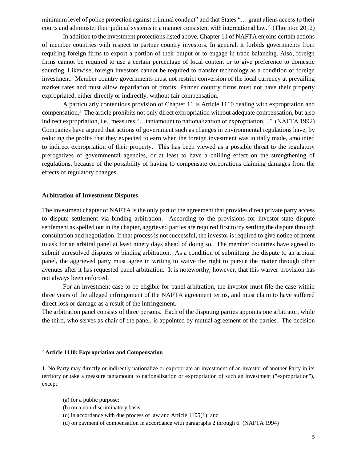minimum level of police protection against criminal conduct" and that States "… grant aliens access to their courts and administer their judicial systems in a manner consistent with international law." (Thornton 2012)

In addition to the investment protections listed above, Chapter 11 of NAFTA enjoins certain actions of member countries with respect to partner country investors. In general, it forbids governments from requiring foreign firms to export a portion of their output or to engage in trade balancing. Also, foreign firms cannot be required to use a certain percentage of local content or to give preference to domestic sourcing. Likewise, foreign investors cannot be required to transfer technology as a condition of foreign investment. Member country governments must not restrict conversion of the local currency at prevailing market rates and must allow repatriation of profits. Partner country firms must not have their property expropriated, either directly or indirectly, without fair compensation.

A particularly contentious provision of Chapter 11 is Article 1110 dealing with expropriation and compensation.<sup>2</sup> The article prohibits not only direct expropriation without adequate compensation, but also indirect expropriation, i.e., measures "…tantamount to nationalization or expropriation…" (NAFTA 1992) Companies have argued that actions of government such as changes in environmental regulations have, by reducing the profits that they expected to earn when the foreign investment was initially made, amounted to indirect expropriation of their property. This has been viewed as a possible threat to the regulatory prerogatives of governmental agencies, or at least to have a chilling effect on the strengthening of regulations, because of the possibility of having to compensate corporations claiming damages from the effects of regulatory changes.

# **Arbitration of Investment Disputes**

The investment chapter of NAFTA is the only part of the agreement that provides direct private party access to dispute settlement via binding arbitration. According to the provisions for investor-state dispute settlement as spelled out in the chapter, aggrieved parties are required first to try settling the dispute through consultation and negotiation. If that process is not successful, the investor is required to give notice of intent to ask for an arbitral panel at least ninety days ahead of doing so. The member countries have agreed to submit unresolved disputes to binding arbitration. As a condition of submitting the dispute to an arbitral panel, the aggrieved party must agree in writing to waive the right to pursue the matter through other avenues after it has requested panel arbitration. It is noteworthy, however, that this waiver provision has not always been enforced.

For an investment case to be eligible for panel arbitration, the investor must file the case within three years of the alleged infringement of the NAFTA agreement terms, and must claim to have suffered direct loss or damage as a result of the infringement.

The arbitration panel consists of three persons. Each of the disputing parties appoints one arbitrator, while the third, who serves as chair of the panel, is appointed by mutual agreement of the parties. The decision

#### <sup>2</sup> **Article 1110: Expropriation and Compensation**

1. No Party may directly or indirectly nationalize or expropriate an investment of an investor of another Party in its territory or take a measure tantamount to nationalization or expropriation of such an investment ("expropriation"), except:

(a) for a public purpose;

l

- (b) on a non-discriminatory basis;
- (c) in accordance with due process of law and Article 1105(1); and
- (d) on payment of compensation in accordance with paragraphs 2 through 6. (NAFTA 1994)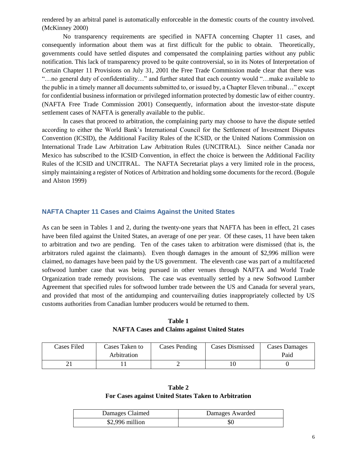rendered by an arbitral panel is automatically enforceable in the domestic courts of the country involved. (McKinney 2000)

No transparency requirements are specified in NAFTA concerning Chapter 11 cases, and consequently information about them was at first difficult for the public to obtain. Theoretically, governments could have settled disputes and compensated the complaining parties without any public notification. This lack of transparency proved to be quite controversial, so in its Notes of Interpretation of Certain Chapter 11 Provisions on July 31, 2001 the Free Trade Commission made clear that there was "…no general duty of confidentiality…" and further stated that each country would "…make available to the public in a timely manner all documents submitted to, or issued by, a Chapter Eleven tribunal…" except for confidential business information or privileged information protected by domestic law of either country. (NAFTA Free Trade Commission 2001) Consequently, information about the investor-state dispute settlement cases of NAFTA is generally available to the public.

In cases that proceed to arbitration, the complaining party may choose to have the dispute settled according to either the World Bank's International Council for the Settlement of Investment Disputes Convention (ICSID), the Additional Facility Rules of the ICSID, or the United Nations Commission on International Trade Law Arbitration Law Arbitration Rules (UNCITRAL). Since neither Canada nor Mexico has subscribed to the ICSID Convention, in effect the choice is between the Additional Facility Rules of the ICSID and UNCITRAL. The NAFTA Secretariat plays a very limited role in the process, simply maintaining a register of Notices of Arbitration and holding some documents for the record. (Bogule and Alston 1999)

# **NAFTA Chapter 11 Cases and Claims Against the United States**

As can be seen in Tables 1 and 2, during the twenty-one years that NAFTA has been in effect, 21 cases have been filed against the United States, an average of one per year. Of these cases, 11 have been taken to arbitration and two are pending. Ten of the cases taken to arbitration were dismissed (that is, the arbitrators ruled against the claimants). Even though damages in the amount of \$2,996 million were claimed, no damages have been paid by the US government. The eleventh case was part of a multifaceted softwood lumber case that was being pursued in other venues through NAFTA and World Trade Organization trade remedy provisions. The case was eventually settled by a new Softwood Lumber Agreement that specified rules for softwood lumber trade between the US and Canada for several years, and provided that most of the antidumping and countervailing duties inappropriately collected by US customs authorities from Canadian lumber producers would be returned to them.

| Cases Filed | Cases Taken to | Cases Pending | Cases Dismissed | Cases Damages |
|-------------|----------------|---------------|-----------------|---------------|
|             | Arbitration    |               |                 | Paid          |
|             |                |               |                 |               |

**Table 1 NAFTA Cases and Claims against United States**

# **Table 2 For Cases against United States Taken to Arbitration**

| Damages Claimed  | Damages Awarded |
|------------------|-----------------|
| $$2,996$ million | SC              |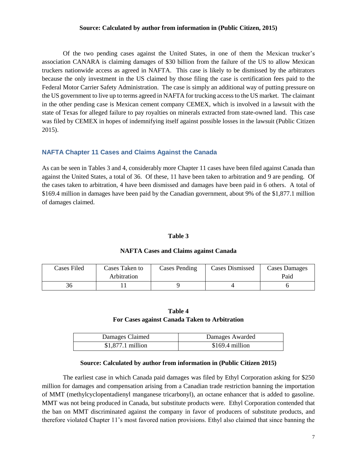#### **Source: Calculated by author from information in (Public Citizen, 2015)**

Of the two pending cases against the United States, in one of them the Mexican trucker's association CANARA is claiming damages of \$30 billion from the failure of the US to allow Mexican truckers nationwide access as agreed in NAFTA. This case is likely to be dismissed by the arbitrators because the only investment in the US claimed by those filing the case is certification fees paid to the Federal Motor Carrier Safety Administration. The case is simply an additional way of putting pressure on the US government to live up to terms agreed in NAFTA for trucking access to the US market. The claimant in the other pending case is Mexican cement company CEMEX, which is involved in a lawsuit with the state of Texas for alleged failure to pay royalties on minerals extracted from state-owned land. This case was filed by CEMEX in hopes of indemnifying itself against possible losses in the lawsuit (Public Citizen 2015).

# **NAFTA Chapter 11 Cases and Claims Against the Canada**

As can be seen in Tables 3 and 4, considerably more Chapter 11 cases have been filed against Canada than against the United States, a total of 36. Of these, 11 have been taken to arbitration and 9 are pending. Of the cases taken to arbitration, 4 have been dismissed and damages have been paid in 6 others. A total of \$169.4 million in damages have been paid by the Canadian government, about 9% of the \$1,877.1 million of damages claimed.

# **Table 3**

# **NAFTA Cases and Claims against Canada**

| <b>Cases Filed</b> | Cases Taken to<br>Arbitration | <b>Cases Pending</b> | Cases Dismissed | <b>Cases Damages</b><br>Paid |
|--------------------|-------------------------------|----------------------|-----------------|------------------------------|
|                    |                               |                      |                 |                              |

# **Table 4 For Cases against Canada Taken to Arbitration**

| Damages Claimed    | Damages Awarded  |
|--------------------|------------------|
| $$1,877.1$ million | $$169.4$ million |

#### **Source: Calculated by author from information in (Public Citizen 2015)**

The earliest case in which Canada paid damages was filed by Ethyl Corporation asking for \$250 million for damages and compensation arising from a Canadian trade restriction banning the importation of MMT (methylcyclopentadienyl manganese tricarbonyl), an octane enhancer that is added to gasoline. MMT was not being produced in Canada, but substitute products were. Ethyl Corporation contended that the ban on MMT discriminated against the company in favor of producers of substitute products, and therefore violated Chapter 11's most favored nation provisions. Ethyl also claimed that since banning the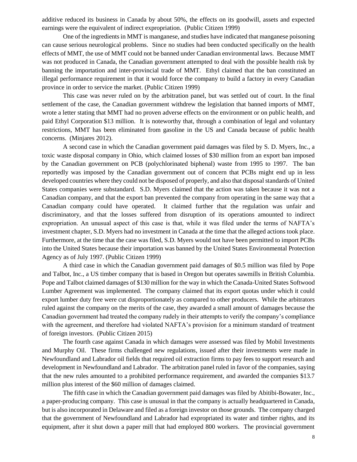additive reduced its business in Canada by about 50%, the effects on its goodwill, assets and expected earnings were the equivalent of indirect expropriation. (Public Citizen 1999)

One of the ingredients in MMT is manganese, and studies have indicated that manganese poisoning can cause serious neurological problems. Since no studies had been conducted specifically on the health effects of MMT, the use of MMT could not be banned under Canadian environmental laws. Because MMT was not produced in Canada, the Canadian government attempted to deal with the possible health risk by banning the importation and inter-provincial trade of MMT. Ethyl claimed that the ban constituted an illegal performance requirement in that it would force the company to build a factory in every Canadian province in order to service the market. (Public Citizen 1999)

This case was never ruled on by the arbitration panel, but was settled out of court. In the final settlement of the case, the Canadian government withdrew the legislation that banned imports of MMT, wrote a letter stating that MMT had no proven adverse effects on the environment or on public health, and paid Ethyl Corporation \$13 million. It is noteworthy that, through a combination of legal and voluntary restrictions, MMT has been eliminated from gasoline in the US and Canada because of public health concerns. (Minjares 2012).

A second case in which the Canadian government paid damages was filed by S. D. Myers, Inc., a toxic waste disposal company in Ohio, which claimed losses of \$30 million from an export ban imposed by the Canadian government on PCB (polychlorinated biphenal) waste from 1995 to 1997. The ban reportedly was imposed by the Canadian government out of concern that PCBs might end up in less developed countries where they could not be disposed of properly, and also that disposal standards of United States companies were substandard. S.D. Myers claimed that the action was taken because it was not a Canadian company, and that the export ban prevented the company from operating in the same way that a Canadian company could have operated. It claimed further that the regulation was unfair and discriminatory, and that the losses suffered from disruption of its operations amounted to indirect expropriation. An unusual aspect of this case is that, while it was filed under the terms of NAFTA's investment chapter, S.D. Myers had no investment in Canada at the time that the alleged actions took place. Furthermore, at the time that the case was filed, S.D. Myers would not have been permitted to import PCBs into the United States because their importation was banned by the United States Environmental Protection Agency as of July 1997. (Public Citizen 1999)

A third case in which the Canadian government paid damages of \$0.5 million was filed by Pope and Talbot, Inc., a US timber company that is based in Oregon but operates sawmills in British Columbia. Pope and Talbot claimed damages of \$130 million for the way in which the Canada-United States Softwood Lumber Agreement was implemented. The company claimed that its export quotas under which it could export lumber duty free were cut disproportionately as compared to other producers. While the arbitrators ruled against the company on the merits of the case, they awarded a small amount of damages because the Canadian government had treated the company rudely in their attempts to verify the company's compliance with the agreement, and therefore had violated NAFTA's provision for a minimum standard of treatment of foreign investors. (Public Citizen 2015)

The fourth case against Canada in which damages were assessed was filed by Mobil Investments and Murphy Oil. These firms challenged new regulations, issued after their investments were made in Newfoundland and Labrador oil fields that required oil extraction firms to pay fees to support research and development in Newfoundland and Labrador. The arbitration panel ruled in favor of the companies, saying that the new rules amounted to a prohibited performance requirement, and awarded the companies \$13.7 million plus interest of the \$60 million of damages claimed.

The fifth case in which the Canadian government paid damages was filed by Abitibi-Bowater, Inc., a paper-producing company. This case is unusual in that the company is actually headquartered in Canada, but is also incorporated in Delaware and filed as a foreign investor on those grounds. The company charged that the government of Newfoundland and Labrador had expropriated its water and timber rights, and its equipment, after it shut down a paper mill that had employed 800 workers. The provincial government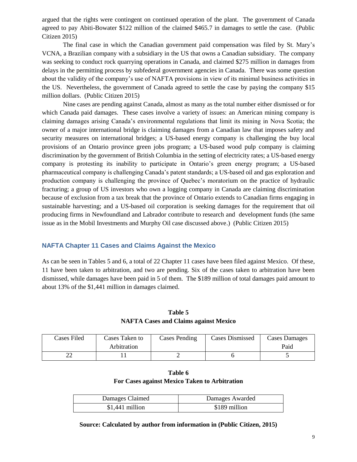argued that the rights were contingent on continued operation of the plant. The government of Canada agreed to pay Abiti-Bowater \$122 million of the claimed \$465.7 in damages to settle the case. (Public Citizen 2015)

The final case in which the Canadian government paid compensation was filed by St. Mary's VCNA, a Brazilian company with a subsidiary in the US that owns a Canadian subsidiary. The company was seeking to conduct rock quarrying operations in Canada, and claimed \$275 million in damages from delays in the permitting process by subfederal government agencies in Canada. There was some question about the validity of the company's use of NAFTA provisions in view of its minimal business activities in the US. Nevertheless, the government of Canada agreed to settle the case by paying the company \$15 million dollars. (Public Citizen 2015)

Nine cases are pending against Canada, almost as many as the total number either dismissed or for which Canada paid damages. These cases involve a variety of issues: an American mining company is claiming damages arising Canada's environmental regulations that limit its mining in Nova Scotia; the owner of a major international bridge is claiming damages from a Canadian law that imposes safety and security measures on international bridges; a US-based energy company is challenging the buy local provisions of an Ontario province green jobs program; a US-based wood pulp company is claiming discrimination by the government of British Columbia in the setting of electricity rates; a US-based energy company is protesting its inability to participate in Ontario's green energy program; a US-based pharmaceutical company is challenging Canada's patent standards; a US-based oil and gas exploration and production company is challenging the province of Quebec's moratorium on the practice of hydraulic fracturing; a group of US investors who own a logging company in Canada are claiming discrimination because of exclusion from a tax break that the province of Ontario extends to Canadian firms engaging in sustainable harvesting; and a US-based oil corporation is seeking damages for the requirement that oil producing firms in Newfoundland and Labrador contribute to research and development funds (the same issue as in the Mobil Investments and Murphy Oil case discussed above.) (Public Citizen 2015)

# **NAFTA Chapter 11 Cases and Claims Against the Mexico**

As can be seen in Tables 5 and 6, a total of 22 Chapter 11 cases have been filed against Mexico. Of these, 11 have been taken to arbitration, and two are pending. Six of the cases taken to arbitration have been dismissed, while damages have been paid in 5 of them. The \$189 million of total damages paid amount to about 13% of the \$1,441 million in damages claimed.

|  | Table 5 |                                              |
|--|---------|----------------------------------------------|
|  |         | <b>NAFTA Cases and Claims against Mexico</b> |

| Cases Filed | Cases Taken to<br>Arbitration | Cases Pending | <b>Cases Dismissed</b> | <b>Cases Damages</b><br>Paid |
|-------------|-------------------------------|---------------|------------------------|------------------------------|
| ^^<br>∠∠    |                               |               |                        |                              |

| Table 6                                       |
|-----------------------------------------------|
| For Cases against Mexico Taken to Arbitration |

| Damages Claimed  | Damages Awarded |
|------------------|-----------------|
| $$1,441$ million | \$189 million   |

# **Source: Calculated by author from information in (Public Citizen, 2015)**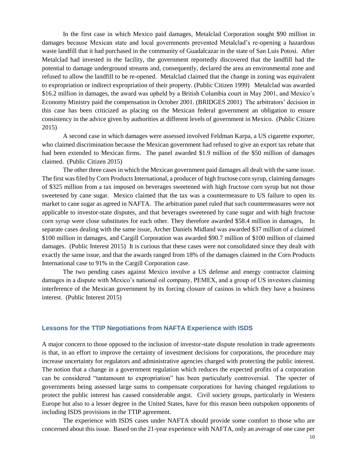In the first case in which Mexico paid damages, Metalclad Corporation sought \$90 million in damages because Mexican state and local governments prevented Metalclad's re-opening a hazardous waste landfill that it had purchased in the community of Guadalcazar in the state of San Luis Potosi. After Metalclad had invested in the facility, the government reportedly discovered that the landfill had the potential to damage underground streams and, consequently, declared the area an environmental zone and refused to allow the landfill to be re-opened. Metalclad claimed that the change in zoning was equivalent to expropriation or indirect expropriation of their property. (Public Citizen 1999) Metalclad was awarded \$16.2 million in damages, the award was upheld by a British Columbia court in May 2001, and Mexico's Economy Ministry paid the compensation in October 2001. (BRIDGES 2001) The arbitrators' decision in this case has been criticized as placing on the Mexican federal government an obligation to ensure consistency in the advice given by authorities at different levels of government in Mexico. (Public Citizen 2015)

A second case in which damages were assessed involved Feldman Karpa, a US cigarette exporter, who claimed discrimination because the Mexican government had refused to give an export tax rebate that had been extended to Mexican firms. The panel awarded \$1.9 million of the \$50 million of damages claimed. (Public Citizen 2015)

The other three cases in which the Mexican government paid damages all dealt with the same issue. The first was filed by Corn Products International, a producer of high fructose corn syrup, claiming damages of \$325 million from a tax imposed on beverages sweetened with high fructose corn syrup but not those sweetened by cane sugar. Mexico claimed that the tax was a countermeasure to US failure to open its market to cane sugar as agreed in NAFTA. The arbitration panel ruled that such countermeasures were not applicable to investor-state disputes, and that beverages sweetened by cane sugar and with high fructose corn syrup were close substitutes for each other. They therefore awarded \$58.4 million in damages, In separate cases dealing with the same issue, Archer Daniels Midland was awarded \$37 million of a claimed \$100 million in damages, and Cargill Corporation was awarded \$90.7 million of \$100 million of claimed damages. (Public Interest 2015) It is curious that these cases were not consolidated since they dealt with exactly the same issue, and that the awards ranged from 18% of the damages claimed in the Corn Products International case to 91% in the Cargill Corporation case.

The two pending cases against Mexico involve a US defense and energy contractor claiming damages in a dispute with Mexico's national oil company, PEMEX, and a group of US investors claiming interference of the Mexican government by its forcing closure of casinos in which they have a business interest. (Public Interest 2015)

#### **Lessons for the TTIP Negotiations from NAFTA Experience with ISDS**

A major concern to those opposed to the inclusion of investor-state dispute resolution in trade agreements is that, in an effort to improve the certainty of investment decisions for corporations, the procedure may increase uncertainty for regulators and administrative agencies charged with protecting the public interest. The notion that a change in a government regulation which reduces the expected profits of a corporation can be considered "tantamount to expropriation" has been particularly controversial. The specter of governments being assessed large sums to compensate corporations for having changed regulations to protect the public interest has caused considerable angst. Civil society groups, particularly in Western Europe but also to a lesser degree in the United States, have for this reason been outspoken opponents of including ISDS provisions in the TTIP agreement.

The experience with ISDS cases under NAFTA should provide some comfort to those who are concerned about this issue. Based on the 21-year experience with NAFTA, only an average of one case per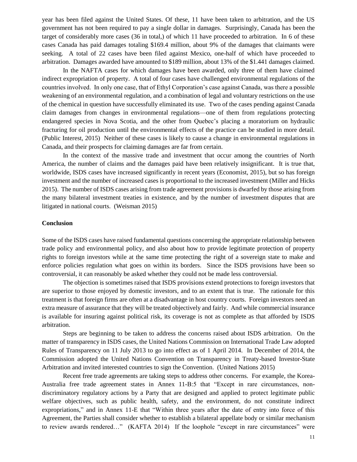year has been filed against the United States. Of these, 11 have been taken to arbitration, and the US government has not been required to pay a single dollar in damages. Surprisingly, Canada has been the target of considerably more cases (36 in total,) of which 11 have proceeded to arbitration. In 6 of these cases Canada has paid damages totaling \$169.4 million, about 9% of the damages that claimants were seeking. A total of 22 cases have been filed against Mexico, one-half of which have proceeded to arbitration. Damages awarded have amounted to \$189 million, about 13% of the \$1.441 damages claimed.

In the NAFTA cases for which damages have been awarded, only three of them have claimed indirect expropriation of property. A total of four cases have challenged environmental regulations of the countries involved. In only one case, that of Ethyl Corporation's case against Canada, was there a possible weakening of an environmental regulation, and a combination of legal and voluntary restrictions on the use of the chemical in question have successfully eliminated its use. Two of the cases pending against Canada claim damages from changes in environmental regulations—one of them from regulations protecting endangered species in Nova Scotia, and the other from Quebec's placing a moratorium on hydraulic fracturing for oil production until the environmental effects of the practice can be studied in more detail. (Public Interest, 2015) Neither of these cases is likely to cause a change in environmental regulations in Canada, and their prospects for claiming damages are far from certain.

In the context of the massive trade and investment that occur among the countries of North America, the number of claims and the damages paid have been relatively insignificant. It is true that, worldwide, ISDS cases have increased significantly in recent years (Economist, 2015), but so has foreign investment and the number of increased cases is proportional to the increased investment (Miller and Hicks 2015). The number of ISDS cases arising from trade agreement provisions is dwarfed by those arising from the many bilateral investment treaties in existence, and by the number of investment disputes that are litigated in national courts. (Weisman 2015)

#### **Conclusion**

Some of the ISDS cases have raised fundamental questions concerning the appropriate relationship between trade policy and environmental policy, and also about how to provide legitimate protection of property rights to foreign investors while at the same time protecting the right of a sovereign state to make and enforce policies regulation what goes on within its borders. Since the ISDS provisions have been so controversial, it can reasonably be asked whether they could not be made less controversial.

The objection is sometimes raised that ISDS provisions extend protections to foreign investors that are superior to those enjoyed by domestic investors, and to an extent that is true. The rationale for this treatment is that foreign firms are often at a disadvantage in host country courts. Foreign investors need an extra measure of assurance that they will be treated objectively and fairly. And while commercial insurance is available for insuring against political risk, its coverage is not as complete as that afforded by ISDS arbitration.

Steps are beginning to be taken to address the concerns raised about ISDS arbitration. On the matter of transparency in ISDS cases, the United Nations Commission on International Trade Law adopted Rules of Transparency on 11 July 2013 to go into effect as of 1 April 2014. In December of 2014, the Commission adopted the United Nations Convention on Transparency in Treaty-based Investor-State Arbitration and invited interested countries to sign the Convention. (United Nations 2015)

Recent free trade agreements are taking steps to address other concerns. For example, the Korea-Australia free trade agreement states in Annex 11-B:5 that "Except in rare circumstances, nondiscriminatory regulatory actions by a Party that are designed and applied to protect legitimate public welfare objectives, such as public health, safety, and the environment, do not constitute indirect expropriations," and in Annex 11-E that "Within three years after the date of entry into force of this Agreement, the Parties shall consider whether to establish a bilateral appellate body or similar mechanism to review awards rendered…" (KAFTA 2014) If the loophole "except in rare circumstances" were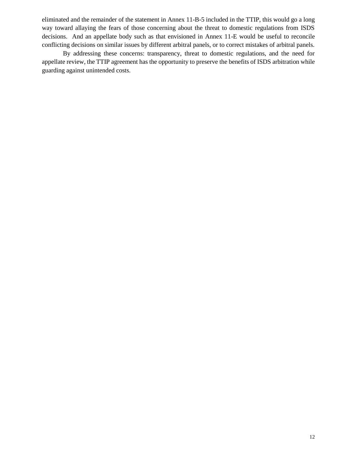eliminated and the remainder of the statement in Annex 11-B-5 included in the TTIP, this would go a long way toward allaying the fears of those concerning about the threat to domestic regulations from ISDS decisions. And an appellate body such as that envisioned in Annex 11-E would be useful to reconcile conflicting decisions on similar issues by different arbitral panels, or to correct mistakes of arbitral panels.

By addressing these concerns: transparency, threat to domestic regulations, and the need for appellate review, the TTIP agreement has the opportunity to preserve the benefits of ISDS arbitration while guarding against unintended costs.